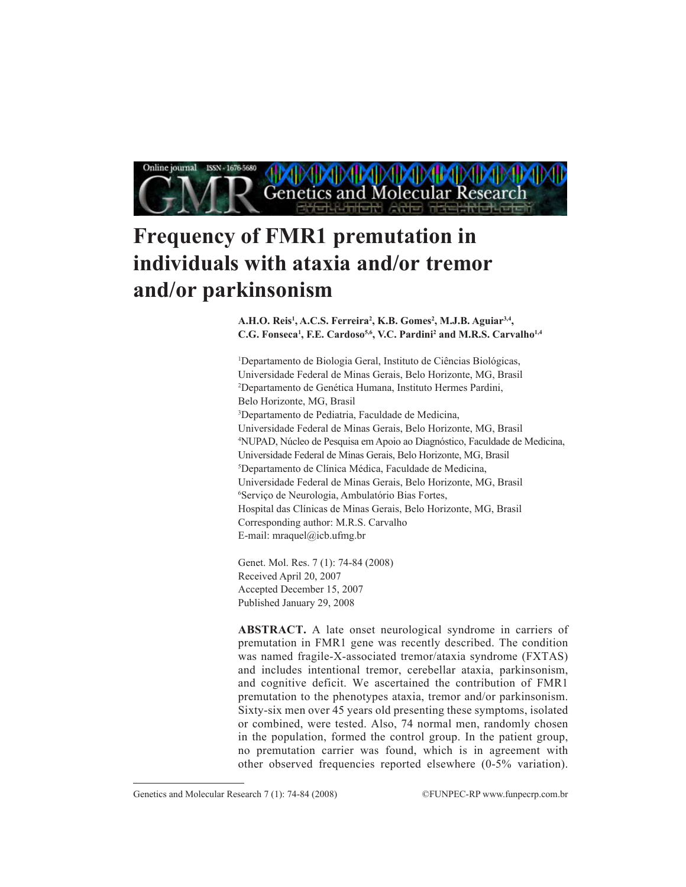

# **Frequency of FMR1 premutation in individuals with ataxia and/or tremor and/or parkinsonism**

**A.H.O. Reis1 , A.C.S. Ferreira2 , K.B. Gomes2 , M.J.B. Aguiar3,4,** C.G. Fonseca<sup>1</sup>, F.E. Cardoso<sup>5,6</sup>, V.C. Pardini<sup>2</sup> and M.R.S. Carvalho<sup>1,4</sup>

1 Departamento de Biologia Geral, Instituto de Ciências Biológicas, Universidade Federal de Minas Gerais, Belo Horizonte, MG, Brasil 2 Departamento de Genética Humana, Instituto Hermes Pardini, Belo Horizonte, MG, Brasil 3 Departamento de Pediatria, Faculdade de Medicina, Universidade Federal de Minas Gerais, Belo Horizonte, MG, Brasil 4 NUPAD, Núcleo de Pesquisa em Apoio ao Diagnóstico, Faculdade de Medicina, Universidade Federal de Minas Gerais, Belo Horizonte, MG, Brasil 5 Departamento de Clínica Médica, Faculdade de Medicina, Universidade Federal de Minas Gerais, Belo Horizonte, MG, Brasil 6 Serviço de Neurologia, Ambulatório Bias Fortes, Hospital das Clínicas de Minas Gerais, Belo Horizonte, MG, Brasil Corresponding author: M.R.S. Carvalho E-mail: mraquel@icb.ufmg.br

Genet. Mol. Res. 7 (1): 74-84 (2008) Received April 20, 2007 Accepted December 15, 2007 Published January 29, 2008

**ABSTRACT.** A late onset neurological syndrome in carriers of premutation in FMR1 gene was recently described. The condition was named fragile-X-associated tremor/ataxia syndrome (FXTAS) and includes intentional tremor, cerebellar ataxia, parkinsonism, and cognitive deficit. We ascertained the contribution of FMR1 premutation to the phenotypes ataxia, tremor and/or parkinsonism. Sixty-six men over 45 years old presenting these symptoms, isolated or combined, were tested. Also, 74 normal men, randomly chosen in the population, formed the control group. In the patient group, no premutation carrier was found, which is in agreement with other observed frequencies reported elsewhere (0-5% variation).

Genetics and Molecular Research 7 (1): 74-84 (2008) ©FUNPEC-RP www.funpecrp.com.br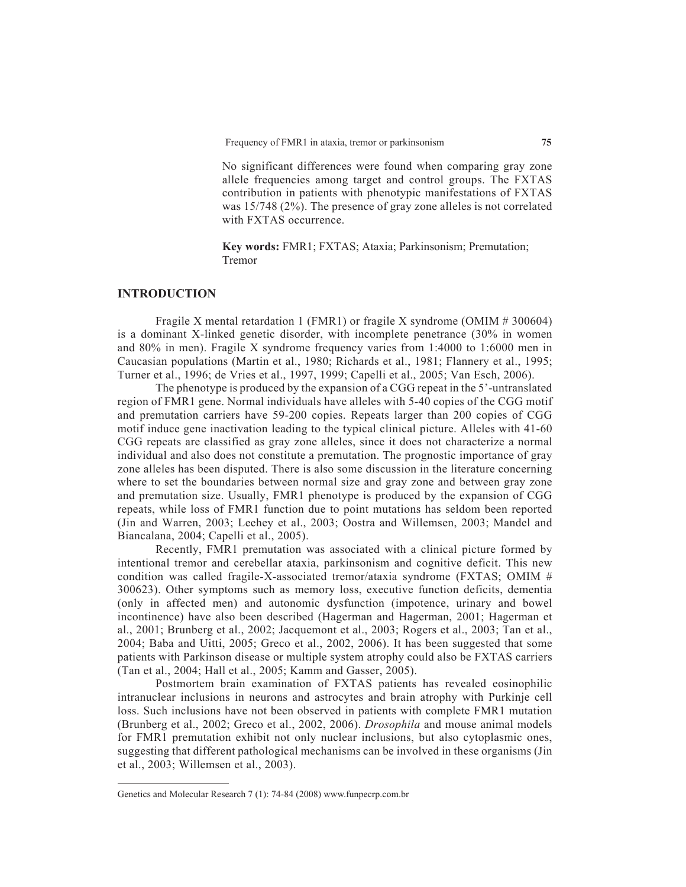No significant differences were found when comparing gray zone allele frequencies among target and control groups. The FXTAS contribution in patients with phenotypic manifestations of FXTAS was 15/748 (2%). The presence of gray zone alleles is not correlated with FXTAS occurrence.

**key words:** FMR1; FXTAS; Ataxia; Parkinsonism; Premutation; Tremor

# **Introduction**

Fragile X mental retardation 1 (FMR1) or fragile X syndrome (OMIM # 300604) is a dominant X-linked genetic disorder, with incomplete penetrance (30% in women and 80% in men). Fragile x syndrome frequency varies from 1:4000 to 1:6000 men in Caucasian populations (Martin et al., 1980; Richards et al., 1981; Flannery et al., 1995; Turner et al., 1996; de Vries et al., 1997, 1999; Capelli et al., 2005; Van Esch, 2006).

The phenotype is produced by the expansion of a CGG repeat in the 5'-untranslated region of FMR1 gene. Normal individuals have alleles with 5-40 copies of the CGG motif and premutation carriers have 59-200 copies. Repeats larger than 200 copies of CGG motif induce gene inactivation leading to the typical clinical picture. Alleles with 41-60 CGG repeats are classified as gray zone alleles, since it does not characterize a normal individual and also does not constitute a premutation. The prognostic importance of gray zone alleles has been disputed. There is also some discussion in the literature concerning where to set the boundaries between normal size and gray zone and between gray zone and premutation size. Usually, FMR1 phenotype is produced by the expansion of CGG repeats, while loss of FMR1 function due to point mutations has seldom been reported (Jin and Warren, 2003; Leehey et al., 2003; Oostra and Willemsen, 2003; Mandel and Biancalana, 2004; Capelli et al., 2005).

Recently, FMR1 premutation was associated with a clinical picture formed by intentional tremor and cerebellar ataxia, parkinsonism and cognitive deficit. This new condition was called fragile-X-associated tremor/ataxia syndrome (FXTAS; OMIM # 300623). Other symptoms such as memory loss, executive function deficits, dementia (only in affected men) and autonomic dysfunction (impotence, urinary and bowel incontinence) have also been described (Hagerman and Hagerman, 2001; Hagerman et al., 2001; Brunberg et al., 2002; Jacquemont et al., 2003; Rogers et al., 2003; Tan et al., 2004; Baba and Uitti, 2005; Greco et al., 2002, 2006). It has been suggested that some patients with Parkinson disease or multiple system atrophy could also be FXTAS carriers (Tan et al., 2004; Hall et al., 2005; Kamm and Gasser, 2005).

Postmortem brain examination of FXTAS patients has revealed eosinophilic intranuclear inclusions in neurons and astrocytes and brain atrophy with Purkinje cell loss. Such inclusions have not been observed in patients with complete FMR1 mutation (Brunberg et al., 2002; Greco et al., 2002, 2006). *Drosophila* and mouse animal models for FMR1 premutation exhibit not only nuclear inclusions, but also cytoplasmic ones, suggesting that different pathological mechanisms can be involved in these organisms (Jin et al., 2003; Willemsen et al., 2003).

Genetics and Molecular Research 7 (1): 74-84 (2008) www.funpecrp.com.br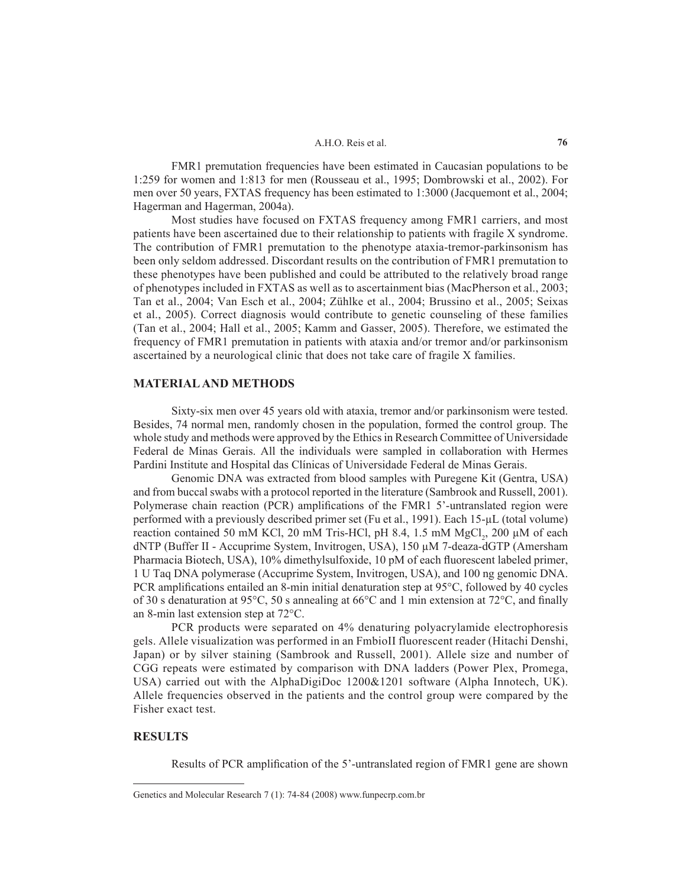FMR1 premutation frequencies have been estimated in Caucasian populations to be 1:259 for women and 1:813 for men (Rousseau et al., 1995; Dombrowski et al., 2002). For men over 50 years, FXTAS frequency has been estimated to 1:3000 (Jacquemont et al., 2004; Hagerman and Hagerman, 2004a).

Most studies have focused on FXTAS frequency among FMR1 carriers, and most patients have been ascertained due to their relationship to patients with fragile X syndrome. The contribution of FMR1 premutation to the phenotype ataxia-tremor-parkinsonism has been only seldom addressed. Discordant results on the contribution of FMR1 premutation to these phenotypes have been published and could be attributed to the relatively broad range of phenotypes included in FXTAS as well as to ascertainment bias (Macpherson et al., 2003; Tan et al., 2004; Van Esch et al., 2004; Zühlke et al., 2004; Brussino et al., 2005; Seixas et al., 2005). Correct diagnosis would contribute to genetic counseling of these families (Tan et al., 2004; Hall et al., 2005; Kamm and Gasser, 2005). Therefore, we estimated the frequency of FMR1 premutation in patients with ataxia and/or tremor and/or parkinsonism ascertained by a neurological clinic that does not take care of fragile X families.

## **Material and methods**

Sixty-six men over 45 years old with ataxia, tremor and/or parkinsonism were tested. Besides, 74 normal men, randomly chosen in the population, formed the control group. The whole study and methods were approved by the Ethics in Research Committee of Universidade Federal de Minas Gerais. All the individuals were sampled in collaboration with Hermes Pardini Institute and Hospital das Clínicas of Universidade Federal de Minas Gerais.

Genomic DNA was extracted from blood samples with Puregene Kit (Gentra, USA) and from buccal swabs with a protocol reported in the literature (Sambrook and Russell, 2001). Polymerase chain reaction (PCR) amplifications of the FMR1 5'-untranslated region were performed with a previously described primer set (Fu et al., 1991). Each 15-µL (total volume) reaction contained 50 mM KCl, 20 mM Tris-HCl, pH 8.4, 1.5 mM  $MgCl<sub>2</sub>$ , 200 µM of each dNTP (Buffer II - Accuprime System, Invitrogen, USA), 150 µM 7-deaza-dGTP (Amersham Pharmacia Biotech, USA), 10% dimethylsulfoxide, 10 pM of each fluorescent labeled primer, 1 U Taq DNA polymerase (Accuprime System, Invitrogen, USA), and 100 ng genomic DNA. PCR amplifications entailed an 8-min initial denaturation step at 95°C, followed by 40 cycles of 30 s denaturation at 95°C, 50 s annealing at 66°C and 1 min extension at 72°C, and finally an 8-min last extension step at 72°C.

PCR products were separated on 4% denaturing polyacrylamide electrophoresis gels. Allele visualization was performed in an FmbioII fluorescent reader (Hitachi Denshi, Japan) or by silver staining (Sambrook and Russell, 2001). Allele size and number of CGG repeats were estimated by comparison with DNA ladders (Power Plex, Promega, USA) carried out with the AlphaDigiDoc 1200&1201 software (Alpha Innotech, UK). Allele frequencies observed in the patients and the control group were compared by the Fisher exact test.

## **Results**

Results of PCR amplification of the 5'-untranslated region of FMR1 gene are shown

Genetics and Molecular Research 7 (1): 74-84 (2008) www.funpecrp.com.br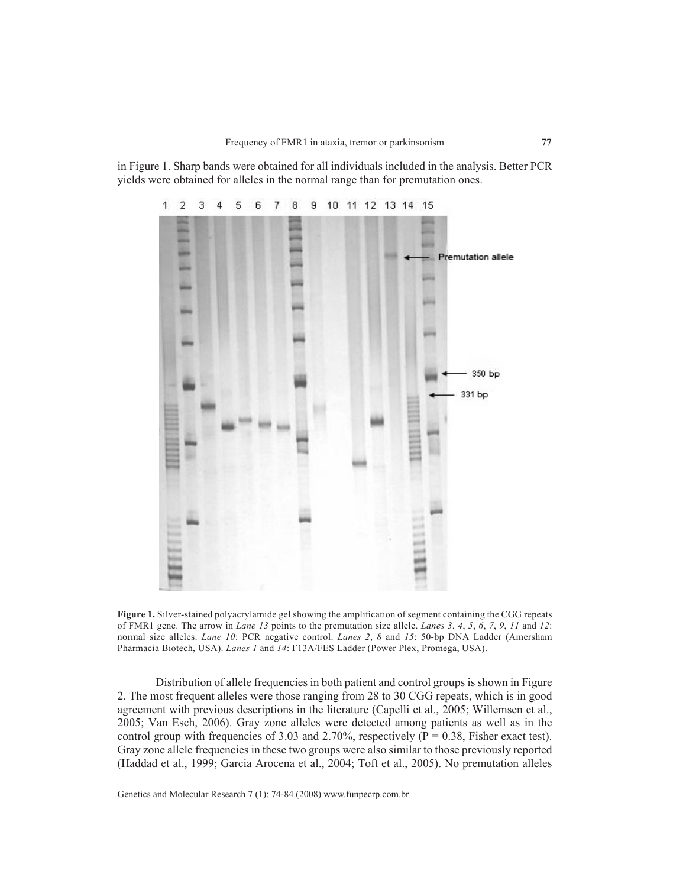in Figure 1. Sharp bands were obtained for all individuals included in the analysis. Better PCR yields were obtained for alleles in the normal range than for premutation ones.



**Figure 1.** Silver-stained polyacrylamide gel showing the amplification of segment containing the CGG repeats of FMR1 gene. The arrow in *lane 13* points to the premutation size allele. *Lanes 3*, *4*, *5*, *6*, *7*, *9*, *11* and *12*: normal size alleles. *Lane 10*: PCR negative control. *Lanes 2*, *8* and *15*: 50-bp DNA Ladder (Amersham Pharmacia Biotech, USA). *Lanes 1* and *14*: F13A/FES Ladder (Power Plex, Promega, USA).

Distribution of allele frequencies in both patient and control groups is shown in Figure 2. The most frequent alleles were those ranging from 28 to 30 CGG repeats, which is in good agreement with previous descriptions in the literature (Capelli et al., 2005; Willemsen et al., 2005; Van Esch, 2006). Gray zone alleles were detected among patients as well as in the control group with frequencies of 3.03 and 2.70%, respectively ( $P = 0.38$ , Fisher exact test). Gray zone allele frequencies in these two groups were also similar to those previously reported (Haddad et al., 1999; Garcia Arocena et al., 2004; Toft et al., 2005). No premutation alleles

Genetics and Molecular Research 7 (1): 74-84 (2008) www.funpecrp.com.br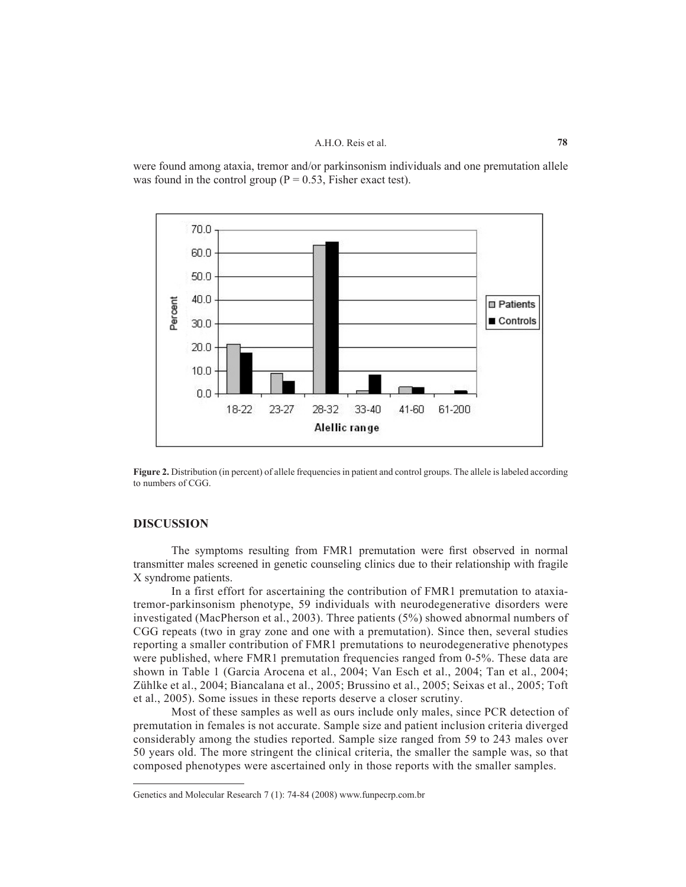were found among ataxia, tremor and/or parkinsonism individuals and one premutation allele was found in the control group ( $P = 0.53$ , Fisher exact test).



Figure 2. Distribution (in percent) of allele frequencies in patient and control groups. The allele is labeled according to numbers of CGG.

# **Discussion**

The symptoms resulting from FMR1 premutation were first observed in normal transmitter males screened in genetic counseling clinics due to their relationship with fragile X syndrome patients.

In a first effort for ascertaining the contribution of FMR1 premutation to ataxiatremor-parkinsonism phenotype, 59 individuals with neurodegenerative disorders were investigated (Macpherson et al., 2003). Three patients (5%) showed abnormal numbers of CGG repeats (two in gray zone and one with a premutation). Since then, several studies reporting a smaller contribution of FMR1 premutations to neurodegenerative phenotypes were published, where FMR1 premutation frequencies ranged from 0-5%. These data are shown in Table 1 (Garcia Arocena et al., 2004; Van Esch et al., 2004; Tan et al., 2004; Zühlke et al., 2004; Biancalana et al., 2005; Brussino et al., 2005; Seixas et al., 2005; Toft et al., 2005). Some issues in these reports deserve a closer scrutiny.

Most of these samples as well as ours include only males, since PCR detection of premutation in females is not accurate. Sample size and patient inclusion criteria diverged considerably among the studies reported. Sample size ranged from 59 to 243 males over 50 years old. The more stringent the clinical criteria, the smaller the sample was, so that composed phenotypes were ascertained only in those reports with the smaller samples.

Genetics and Molecular Research 7 (1): 74-84 (2008) www.funpecrp.com.br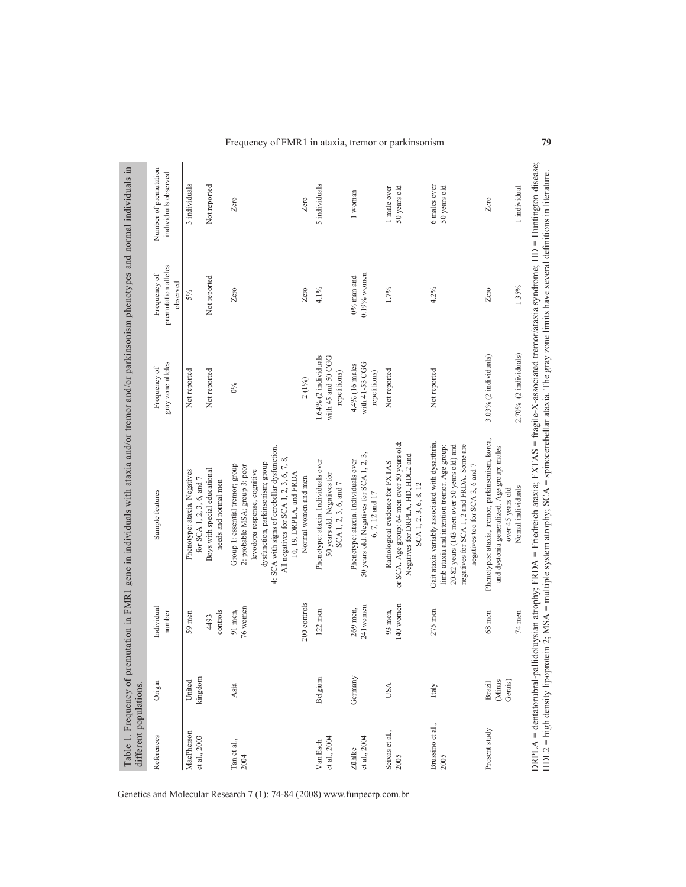| different populations.      |                             |                         | Table 1. Frequency of premutation in FMR1 gene in individuals with ataxia and/or tremor and/or parkinsonism phenotypes and normal individuals in                                                                                                                                            |                                                              |                                                 |                                               |
|-----------------------------|-----------------------------|-------------------------|---------------------------------------------------------------------------------------------------------------------------------------------------------------------------------------------------------------------------------------------------------------------------------------------|--------------------------------------------------------------|-------------------------------------------------|-----------------------------------------------|
| References                  | Origin                      | Individual<br>number    | Sample features                                                                                                                                                                                                                                                                             | gray zone alleles<br>Frequency of                            | premutation alleles<br>Frequency of<br>observed | Number of premutation<br>individuals observed |
| MacPherson<br>et al., 2003  | kingdom<br>United           | 59 men                  | Phenotype: ataxia. Negatives<br>for SCA 1, 2, 3, 6, and 7                                                                                                                                                                                                                                   | Not reported                                                 | 5%                                              | 3 individuals                                 |
|                             |                             | controls<br>4493        | Boys with special educational<br>needs and normal men                                                                                                                                                                                                                                       | Not reported                                                 | Not reported                                    | Not reported                                  |
| Tan et al.,<br>2004         | Asia                        | 76 women<br>91 men,     | 4: SCA with signs of cerebellar dysfunction.<br>All negatives for SCA 1, 2, 3, 6, 7, 8,<br>dysfunction, parkinsonism; group<br>Group 1: essential tremor; group<br>2: probable MSA; group 3: poor<br>levodopa response, cognitive<br>10, 19, DRPLA, and FRDA                                | $0\%$                                                        | Zero                                            | Zero                                          |
|                             |                             | 200 controls            | Normal women and men                                                                                                                                                                                                                                                                        | $2(1\%)$                                                     | Zero                                            | Zero                                          |
| et al., 2004<br>Van Esch    | Belgium                     | $122$ men               | Phenotype: ataxia. Individuals over<br>50 years old. Negatives for<br>SCA 1, 2, 3, 6, and 7                                                                                                                                                                                                 | $1.64%$ (2 individuals<br>with 45 and 50 CGG<br>repetitions) | 4.1%                                            | 5 individuals                                 |
| et al., 2004<br>Zühlke      | Germany                     | 241 women<br>$269$ men, | 50 years old. Negatives for SCA 1, 2, 3,<br>Phenotype: ataxia. Individuals over<br>6, 7, 12 and 17                                                                                                                                                                                          | with 41-53 CGG<br>4.4% (16 males<br>repetitions)             | $0.19%$ women<br>$0\%$ man and                  | 1 woman                                       |
| Seixas et al.,<br>2005      | USA                         | 140 women<br>93 men,    | or SCA. Age group: 64 men over 50 years old;<br>Negatives for DRPLA, HD, HDL2 and<br>Radiological evidence for FXTAS<br>SCA 1, 2, 3, 6, 8, 12                                                                                                                                               | Not reported                                                 | 1.7%                                            | 1 male over<br>50 years old                   |
| Brussino et al.,<br>2005    | Italy                       | $275$ men               | Gait ataxia variably associated with dysarthria,<br>negatives for SCA 1, 2 and FRDA. Some are<br>limb ataxia and intention tremor. Age group:<br>$20-82$ years (143 men over 50 years old) and<br>negatives too for SCA 3, 6 and 7                                                          | Not reported                                                 | 4.2%                                            | 6 males over<br>50 years old                  |
| Present study               | (Minas<br>Gerais)<br>Brazil | 68 men                  | Phenotypes: ataxia, tremor, parkinsonism, korea,<br>and dystonia generalized. Age group: males<br>over 45 years old                                                                                                                                                                         | 3.03% (2 individuals)                                        | Zero                                            | Zero                                          |
|                             |                             | 74 men                  | Nomal individuals                                                                                                                                                                                                                                                                           | 2.70% (2 individuals)                                        | 1.35%                                           | 1 individual                                  |
| $DRPLA = denatorubral-pall$ |                             |                         | idoluysian atrophy; FRDA = Friedreich ataxia; FXTAS = fragile-X-associated tremor/ataxia syndrome; HD = Huntington disease;<br>HDL2 = high density lipoprotein 2; MSA = multiple system atrophy; SCA = spinocerebellar ataxia. The gray zone limits have several definitions in literature. |                                                              |                                                 |                                               |

Frequency of FMR1 in ataxia, tremor or parkinsonism **79**

Genetics and Molecular Research 7 (1): 74-84 (2008) www.funpecrp.com.br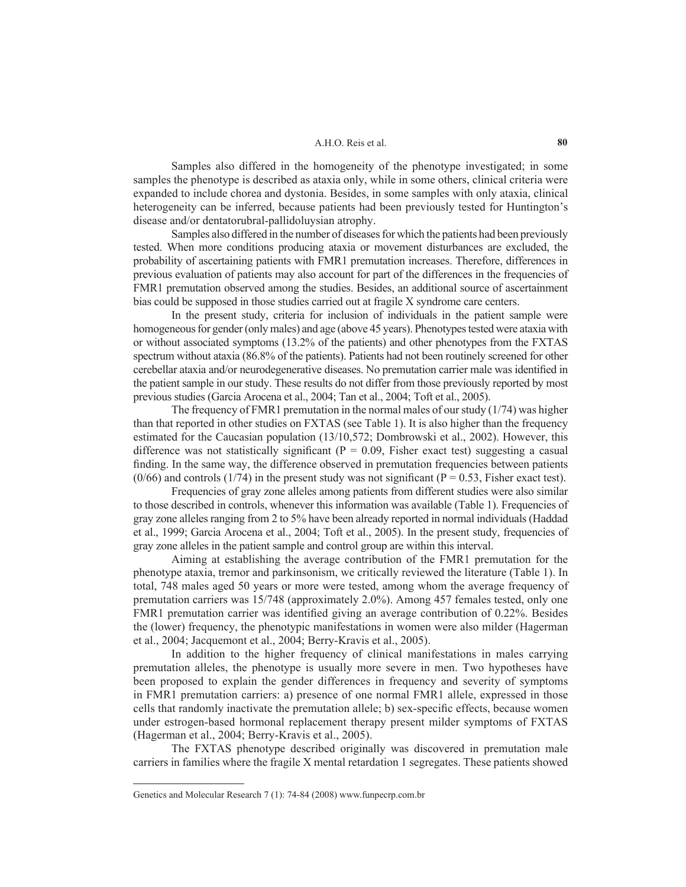Samples also differed in the homogeneity of the phenotype investigated; in some samples the phenotype is described as ataxia only, while in some others, clinical criteria were expanded to include chorea and dystonia. Besides, in some samples with only ataxia, clinical heterogeneity can be inferred, because patients had been previously tested for Huntington's disease and/or dentatorubral-pallidoluysian atrophy.

Samples also differed in the number of diseases for which the patients had been previously tested. When more conditions producing ataxia or movement disturbances are excluded, the probability of ascertaining patients with FMR1 premutation increases. Therefore, differences in previous evaluation of patients may also account for part of the differences in the frequencies of FMR1 premutation observed among the studies. Besides, an additional source of ascertainment bias could be supposed in those studies carried out at fragile X syndrome care centers.

In the present study, criteria for inclusion of individuals in the patient sample were homogeneous for gender (only males) and age (above 45 years). Phenotypes tested were ataxia with or without associated symptoms (13.2% of the patients) and other phenotypes from the FXTAS spectrum without ataxia (86.8% of the patients). Patients had not been routinely screened for other cerebellar ataxia and/or neurodegenerative diseases. No premutation carrier male was identified in the patient sample in our study. These results do not differ from those previously reported by most previous studies (Garcia Arocena et al., 2004; Tan et al., 2004; Toft et al., 2005).

The frequency of FMR1 premutation in the normal males of our study (1/74) was higher than that reported in other studies on FXTAS (see Table 1). It is also higher than the frequency estimated for the Caucasian population (13/10,572; Dombrowski et al., 2002). However, this difference was not statistically significant ( $P = 0.09$ , Fisher exact test) suggesting a casual finding. In the same way, the difference observed in premutation frequencies between patients  $(0/66)$  and controls (1/74) in the present study was not significant (P = 0.53, Fisher exact test).

Frequencies of gray zone alleles among patients from different studies were also similar to those described in controls, whenever this information was available (Table 1). Frequencies of gray zone alleles ranging from 2 to 5% have been already reported in normal individuals (Haddad et al., 1999; Garcia Arocena et al., 2004; Toft et al., 2005). In the present study, frequencies of gray zone alleles in the patient sample and control group are within this interval.

Aiming at establishing the average contribution of the FMR1 premutation for the phenotype ataxia, tremor and parkinsonism, we critically reviewed the literature (Table 1). In total, 748 males aged 50 years or more were tested, among whom the average frequency of premutation carriers was 15/748 (approximately 2.0%). Among 457 females tested, only one FMR1 premutation carrier was identified giving an average contribution of 0.22%. Besides the (lower) frequency, the phenotypic manifestations in women were also milder (Hagerman et al., 2004; Jacquemont et al., 2004; Berry-Kravis et al., 2005).

In addition to the higher frequency of clinical manifestations in males carrying premutation alleles, the phenotype is usually more severe in men. Two hypotheses have been proposed to explain the gender differences in frequency and severity of symptoms in FMR1 premutation carriers: a) presence of one normal FMR1 allele, expressed in those cells that randomly inactivate the premutation allele; b) sex-specific effects, because women under estrogen-based hormonal replacement therapy present milder symptoms of FXTAS (Hagerman et al., 2004; Berry-Kravis et al., 2005).

The FXTAS phenotype described originally was discovered in premutation male carriers in families where the fragile X mental retardation 1 segregates. These patients showed

Genetics and Molecular Research 7 (1): 74-84 (2008) www.funpecrp.com.br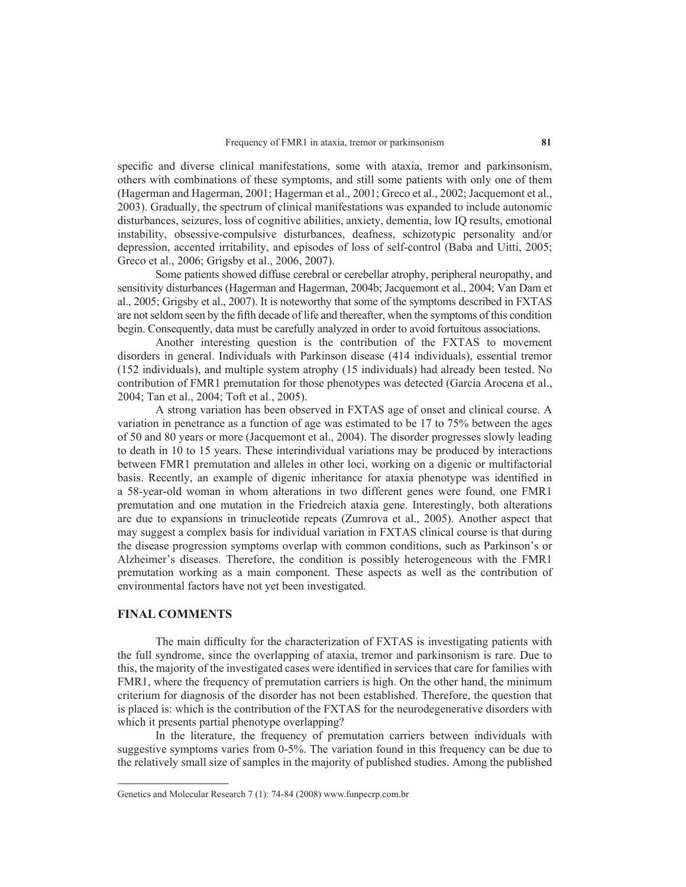specific and diverse clinical manifestations, some with ataxia, tremor and parkinsonism, others with combinations of these symptoms, and still some patients with only one of them (Hagerman and Hagerman, 2001; Hagerman et al., 2001; Greco et al., 2002; Jacquemont et al., 2003). Gradually, the spectrum of clinical manifestations was expanded to include autonomic disturbances, seizures, loss of cognitive abilities, anxiety, dementia, low IQ results, emotional instability, obsessive-compulsive disturbances, deafness, schizotypic personality and/or depression, accented irritability, and episodes of loss of self-control (Baba and Uitti, 2005; Greco et al., 2006; Grigsby et al., 2006, 2007).

Some patients showed diffuse cerebral or cerebellar atrophy, peripheral neuropathy, and sensitivity disturbances (Hagerman and Hagerman, 2004b; Jacquemont et al., 2004; Van Dam et al., 2005; Grigsby et al., 2007). It is noteworthy that some of the symptoms described in FXTAS are not seldom seen by the fifth decade of life and thereafter, when the symptoms of this condition begin. Consequently, data must be carefully analyzed in order to avoid fortuitous associations.

Another interesting question is the contribution of the FXTAS to movement disorders in general. Individuals with Parkinson disease (414 individuals), essential tremor (152 individuals), and multiple system atrophy (15 individuals) had already been tested. No contribution of FMR1 premutation for those phenotypes was detected (Garcia Arocena et al., 2004; Tan et al., 2004; Toft et al., 2005).

A strong variation has been observed in FXTAS age of onset and clinical course. A variation in penetrance as a function of age was estimated to be 17 to 75% between the ages of 50 and 80 years or more (Jacquemont et al., 2004). The disorder progresses slowly leading to death in 10 to 15 years. These interindividual variations may be produced by interactions between FMR1 premutation and alleles in other loci, working on a digenic or multifactorial basis. Recently, an example of digenic inheritance for ataxia phenotype was identified in a 58-year-old woman in whom alterations in two different genes were found, one FMR1 premutation and one mutation in the Friedreich ataxia gene. Interestingly, both alterations are due to expansions in trinucleotide repeats (Zumrova et al., 2005). Another aspect that may suggest a complex basis for individual variation in FXTAS clinical course is that during the disease progression symptoms overlap with common conditions, such as Parkinson's or Alzheimer's diseases. Therefore, the condition is possibly heterogeneous with the FMR1 premutation working as a main component. These aspects as well as the contribution of environmental factors have not yet been investigated.

### **Final comments**

The main difficulty for the characterization of FXTAS is investigating patients with the full syndrome, since the overlapping of ataxia, tremor and parkinsonism is rare. Due to this, the majority of the investigated cases were identified in services that care for families with FMR1, where the frequency of premutation carriers is high. On the other hand, the minimum criterium for diagnosis of the disorder has not been established. Therefore, the question that is placed is: which is the contribution of the FXTAS for the neurodegenerative disorders with which it presents partial phenotype overlapping?

In the literature, the frequency of premutation carriers between individuals with suggestive symptoms varies from 0-5%. The variation found in this frequency can be due to the relatively small size of samples in the majority of published studies. Among the published

Genetics and Molecular Research 7 (1): 74-84 (2008) www.funpecrp.com.br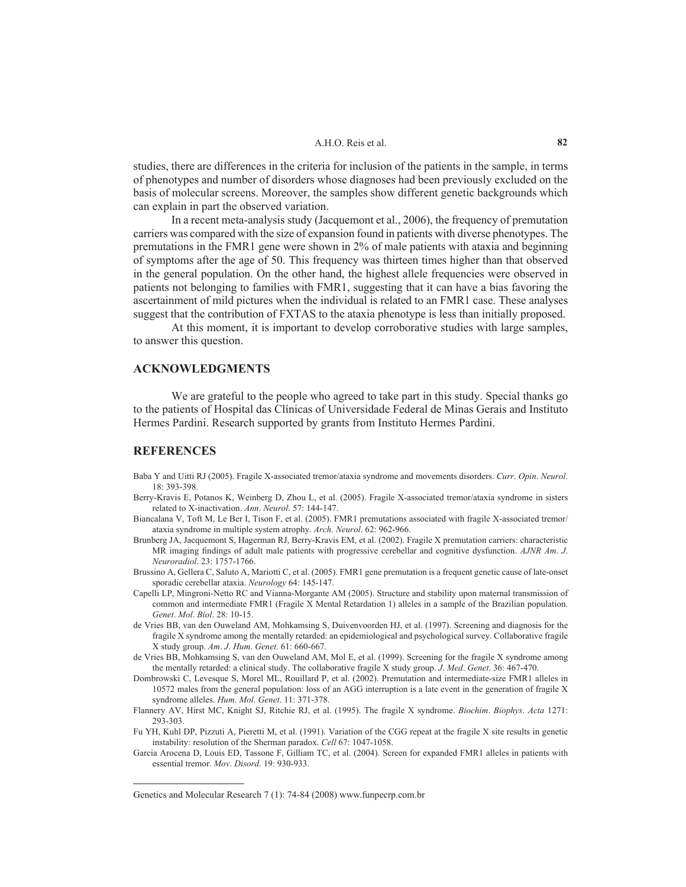studies, there are differences in the criteria for inclusion of the patients in the sample, in terms of phenotypes and number of disorders whose diagnoses had been previously excluded on the basis of molecular screens. Moreover, the samples show different genetic backgrounds which can explain in part the observed variation.

In a recent meta-analysis study (Jacquemont et al., 2006), the frequency of premutation carriers was compared with the size of expansion found in patients with diverse phenotypes. The premutations in the FMR1 gene were shown in 2% of male patients with ataxia and beginning of symptoms after the age of 50. This frequency was thirteen times higher than that observed in the general population. On the other hand, the highest allele frequencies were observed in patients not belonging to families with FMR1, suggesting that it can have a bias favoring the ascertainment of mild pictures when the individual is related to an FMR1 case. These analyses suggest that the contribution of FXTAS to the ataxia phenotype is less than initially proposed.

At this moment, it is important to develop corroborative studies with large samples, to answer this question.

# **Acknowledgments**

We are grateful to the people who agreed to take part in this study. Special thanks go to the patients of Hospital das Clínicas of Universidade Federal de Minas Gerais and Instituto Hermes Pardini. Research supported by grants from Instituto Hermes Pardini.

#### **ReferEncES**

- Baba Y and Uitti RJ (2005). Fragile X-associated tremor/ataxia syndrome and movements disorders. *Curr*. *Opin*. *Neurol*. 18: 393-398.
- Berry-Kravis E, Potanos K, Weinberg D, Zhou L, et al. (2005). Fragile X-associated tremor/ataxia syndrome in sisters related to X-inactivation. *Ann*. *Neurol*. 57: 144-147.
- Biancalana V, Toft M, Le Ber I, Tison F, et al. (2005). FMR1 premutations associated with fragile X-associated tremor/ ataxia syndrome in multiple system atrophy. *Arch*. *Neurol*. 62: 962-966.
- Brunberg JA, Jacquemont S, Hagerman RJ, Berry-Kravis EM, et al. (2002). Fragile X premutation carriers: characteristic MR imaging findings of adult male patients with progressive cerebellar and cognitive dysfunction. *AJNR Am*. *J*. *Neuroradiol*. 23: 1757-1766.
- Brussino A, Gellera C, Saluto A, Mariotti C, et al. (2005). FMR1 gene premutation is a frequent genetic cause of late-onset sporadic cerebellar ataxia. *Neurology* 64: 145-147.
- Capelli LP, Mingroni-Netto RC and Vianna-Morgante AM (2005). Structure and stability upon maternal transmission of common and intermediate FMR1 (Fragile X Mental Retardation 1) alleles in a sample of the Brazilian population. *Genet*. *Mol*. *Biol*. 28: 10-15.
- de Vries BB, van den Ouweland AM, Mohkamsing S, Duivenvoorden HJ, et al. (1997). Screening and diagnosis for the fragile X syndrome among the mentally retarded: an epidemiological and psychological survey. Collaborative fragile X study group. *Am*. *J*. *Hum*. *Genet*. 61: 660-667.
- de Vries BB, Mohkamsing S, van den Ouweland AM, Mol E, et al. (1999). Screening for the fragile X syndrome among the mentally retarded: a clinical study. The collaborative fragile X study group. *J*. *Med*. *Genet*. 36: 467-470.
- Dombrowski C, Levesque S, Morel ML, Rouillard P, et al. (2002). Premutation and intermediate-size FMR1 alleles in 10572 males from the general population: loss of an AGG interruption is a late event in the generation of fragile X syndrome alleles. *Hum*. *Mol*. *Genet*. 11: 371-378.
- Flannery AV, Hirst MC, Knight SJ, Ritchie RJ, et al. (1995). The fragile X syndrome. *Biochim*. *Biophys*. *Acta* 1271: 293-303.
- Fu YH, Kuhl DP, Pizzuti A, Pieretti M, et al. (1991). Variation of the CGG repeat at the fragile X site results in genetic instability: resolution of the Sherman paradox. *Cell* 67: 1047-1058.

Garcia Arocena D, Louis ED, Tassone F, Gilliam TC, et al. (2004). Screen for expanded FMR1 alleles in patients with essential tremor. *Mov*. *Disord*. 19: 930-933.

Genetics and Molecular Research 7 (1): 74-84 (2008) www.funpecrp.com.br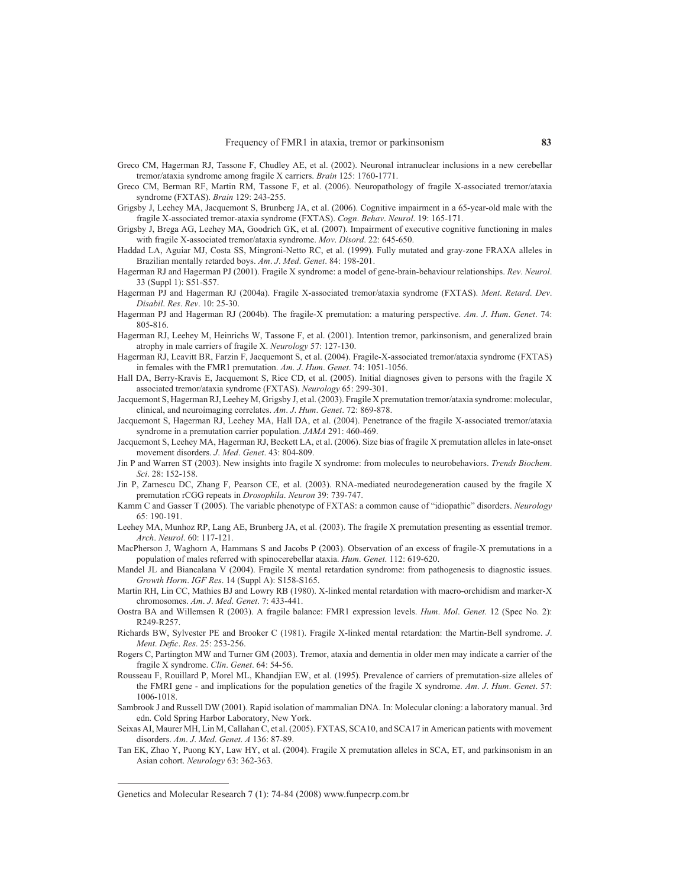- Greco CM, Hagerman RJ, Tassone F, Chudley AE, et al. (2002). Neuronal intranuclear inclusions in a new cerebellar tremor/ataxia syndrome among fragile X carriers. *Brain* 125: 1760-1771.
- Greco CM, Berman RF, Martin RM, Tassone F, et al. (2006). Neuropathology of fragile X-associated tremor/ataxia syndrome (FXTAS). *Brain* 129: 243-255.
- Grigsby J, Leehey MA, Jacquemont S, Brunberg JA, et al. (2006). Cognitive impairment in a 65-year-old male with the fragile X-associated tremor-ataxia syndrome (FXTAS). *Cogn*. *Behav*. *Neurol*. 19: 165-171.
- Grigsby J, Brega AG, Leehey MA, Goodrich GK, et al. (2007). Impairment of executive cognitive functioning in males with fragile X-associated tremor/ataxia syndrome. *Mov*. *Disord*. 22: 645-650.
- Haddad LA, Aguiar MJ, Costa SS, Mingroni-Netto RC, et al. (1999). Fully mutated and gray-zone FRAXA alleles in Brazilian mentally retarded boys. *Am*. *J*. *Med*. *Genet*. 84: 198-201.
- Hagerman RJ and Hagerman PJ (2001). Fragile X syndrome: a model of gene-brain-behaviour relationships. *Rev*. *Neurol*. 33 (Suppl 1): S51-S57.
- Hagerman PJ and Hagerman RJ (2004a). Fragile X-associated tremor/ataxia syndrome (FXTAS). *Ment*. *Retard*. *Dev*. *Disabil*. *Res*. *Rev*. 10: 25-30.
- Hagerman PJ and Hagerman RJ (2004b). The fragile-X premutation: a maturing perspective. *Am*. *J*. *Hum*. *Genet*. 74: 805-816.
- Hagerman RJ, Leehey M, Heinrichs W, Tassone F, et al. (2001). Intention tremor, parkinsonism, and generalized brain atrophy in male carriers of fragile X. *Neurology* 57: 127-130.
- Hagerman RJ, Leavitt BR, Farzin F, Jacquemont S, et al. (2004). Fragile-X-associated tremor/ataxia syndrome (FXTAS) in females with the FMR1 premutation. *Am*. *J*. *Hum*. *Genet*. 74: 1051-1056.
- Hall DA, Berry-Kravis E, Jacquemont S, Rice CD, et al. (2005). Initial diagnoses given to persons with the fragile X associated tremor/ataxia syndrome (FXTAS). *Neurology* 65: 299-301.

Jacquemont S, Hagerman RJ, Leehey M, Grigsby J, et al. (2003). Fragile X premutation tremor/ataxia syndrome: molecular, clinical, and neuroimaging correlates. *Am*. *J*. *Hum*. *Genet*. 72: 869-878.

Jacquemont S, Hagerman RJ, Leehey MA, Hall DA, et al. (2004). Penetrance of the fragile X-associated tremor/ataxia syndrome in a premutation carrier population. *JAMA* 291: 460-469.

Jacquemont S, Leehey MA, Hagerman RJ, Beckett LA, et al. (2006). Size bias of fragile X premutation alleles in late-onset movement disorders. *J*. *Med*. *Genet*. 43: 804-809.

- Jin P and Warren ST (2003). New insights into fragile X syndrome: from molecules to neurobehaviors. *Trends Biochem*. *Sci*. 28: 152-158.
- Jin P, Zarnescu DC, Zhang F, Pearson CE, et al. (2003). RNA-mediated neurodegeneration caused by the fragile X premutation rCGG repeats in *Drosophila*. *Neuron* 39: 739-747.
- Kamm C and Gasser T (2005). The variable phenotype of FXTAS: a common cause of "idiopathic" disorders. *Neurology* 65: 190-191.
- Leehey MA, Munhoz RP, Lang AE, Brunberg JA, et al. (2003). The fragile X premutation presenting as essential tremor. *Arch*. *Neurol*. 60: 117-121.
- Macpherson J, Waghorn A, Hammans S and Jacobs P (2003). Observation of an excess of fragile-X premutations in a population of males referred with spinocerebellar ataxia. *Hum*. *Genet*. 112: 619-620.

Mandel JL and Biancalana V (2004). Fragile X mental retardation syndrome: from pathogenesis to diagnostic issues. *Growth Horm*. *IGF Res*. 14 (Suppl A): S158-S165.

- Martin RH, Lin CC, Mathies BJ and Lowry RB (1980). X-linked mental retardation with macro-orchidism and marker-X chromosomes. *Am*. *J*. *Med*. *Genet*. 7: 433-441.
- Oostra BA and Willemsen R (2003). A fragile balance: FMR1 expression levels. *Hum*. *Mol*. *Genet*. 12 (Spec No. 2): R249-R257.
- Richards BW, Sylvester PE and Brooker C (1981). Fragile X-linked mental retardation: the Martin-Bell syndrome. *J*. *Ment*. *Defic*. *Res*. 25: 253-256.
- Rogers C, Partington MW and Turner GM (2003). Tremor, ataxia and dementia in older men may indicate a carrier of the fragile X syndrome. *Clin*. *Genet*. 64: 54-56.
- Rousseau F, Rouillard P, Morel ML, Khandjian EW, et al. (1995). Prevalence of carriers of premutation-size alleles of the FMRI gene - and implications for the population genetics of the fragile X syndrome. *Am*. *J*. *Hum*. *Genet*. 57: 1006-1018.
- Sambrook J and Russell DW (2001). Rapid isolation of mammalian DNA. In: Molecular cloning: a laboratory manual. 3rd edn. Cold Spring Harbor Laboratory, New York.
- Seixas AI, Maurer MH, Lin M, Callahan C, et al. (2005). FXTAS, SCA10, and SCA17 in American patients with movement disorders. *Am*. *J*. *Med*. *Genet*. *A* 136: 87-89.

Tan EK, Zhao Y, Puong KY, Law HY, et al. (2004). Fragile X premutation alleles in SCA, ET, and parkinsonism in an Asian cohort. *Neurology* 63: 362-363.

Genetics and Molecular Research 7 (1): 74-84 (2008) www.funpecrp.com.br